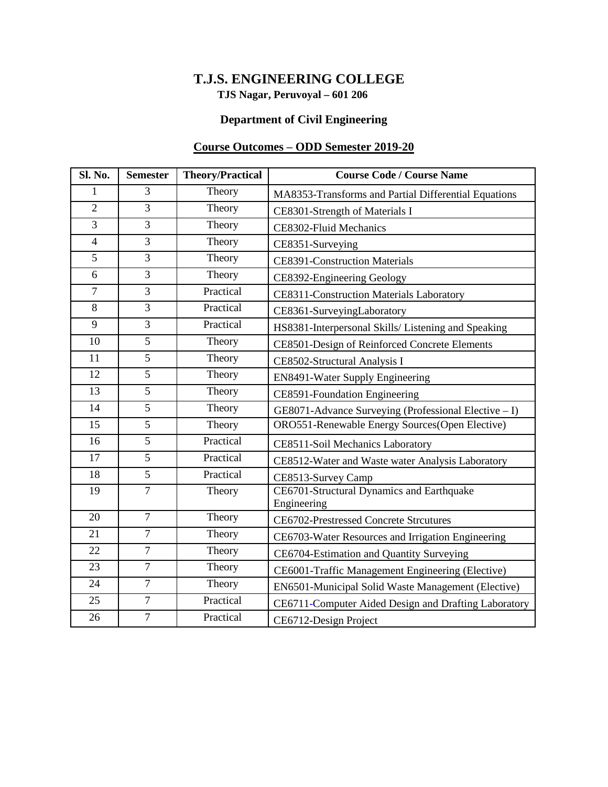### **TJS Nagar, Peruvoyal – 601 206 T.J.S. ENGINEERING COLLEGE**

### **Department of Civil Engineering**

### **Course Outcomes – ODD Semester 2019-20**

| Sl. No.        | <b>Semester</b> | <b>Theory/Practical</b> | <b>Course Code / Course Name</b>                         |
|----------------|-----------------|-------------------------|----------------------------------------------------------|
| 1              | 3               | Theory                  | MA8353-Transforms and Partial Differential Equations     |
| $\overline{2}$ | $\overline{3}$  | Theory                  | CE8301-Strength of Materials I                           |
| 3              | 3               | Theory                  | CE8302-Fluid Mechanics                                   |
| $\overline{4}$ | 3               | Theory                  | CE8351-Surveying                                         |
| $\overline{5}$ | $\overline{3}$  | Theory                  | <b>CE8391-Construction Materials</b>                     |
| 6              | 3               | Theory                  | CE8392-Engineering Geology                               |
| $\overline{7}$ | $\overline{3}$  | Practical               | CE8311-Construction Materials Laboratory                 |
| $\overline{8}$ | $\overline{3}$  | Practical               | CE8361-SurveyingLaboratory                               |
| 9              | 3               | Practical               | HS8381-Interpersonal Skills/ Listening and Speaking      |
| 10             | 5               | Theory                  | CE8501-Design of Reinforced Concrete Elements            |
| 11             | $\overline{5}$  | Theory                  | CE8502-Structural Analysis I                             |
| 12             | 5               | Theory                  | EN8491-Water Supply Engineering                          |
| 13             | 5               | Theory                  | CE8591-Foundation Engineering                            |
| 14             | $\overline{5}$  | Theory                  | $GE8071$ -Advance Surveying (Professional Elective - I)  |
| 15             | $\overline{5}$  | Theory                  | ORO551-Renewable Energy Sources(Open Elective)           |
| 16             | 5               | Practical               | CE8511-Soil Mechanics Laboratory                         |
| 17             | $\overline{5}$  | Practical               | CE8512-Water and Waste water Analysis Laboratory         |
| 18             | 5               | Practical               | CE8513-Survey Camp                                       |
| 19             | $\overline{7}$  | Theory                  | CE6701-Structural Dynamics and Earthquake<br>Engineering |
| 20             | $\overline{7}$  | Theory                  | <b>CE6702-Prestressed Concrete Strcutures</b>            |
| 21             | $\overline{7}$  | Theory                  | CE6703-Water Resources and Irrigation Engineering        |
| 22             | $\overline{7}$  | Theory                  | CE6704-Estimation and Quantity Surveying                 |
| 23             | $\tau$          | Theory                  | CE6001-Traffic Management Engineering (Elective)         |
| 24             | $\overline{7}$  | Theory                  | EN6501-Municipal Solid Waste Management (Elective)       |
| 25             | $\overline{7}$  | Practical               | CE6711-Computer Aided Design and Drafting Laboratory     |
| 26             | $\overline{7}$  | Practical               | CE6712-Design Project                                    |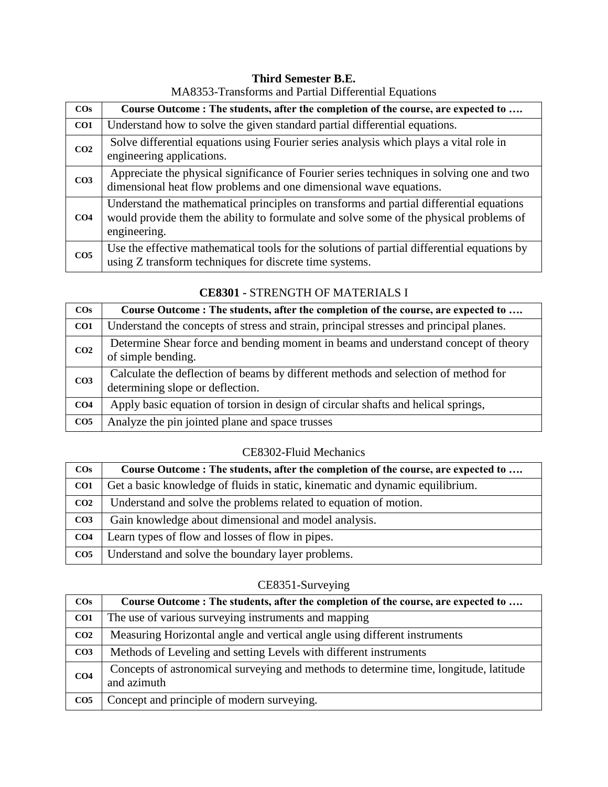## **Third Semester B.E.**

| $\cos$          | Course Outcome : The students, after the completion of the course, are expected to                                                                                                                |
|-----------------|---------------------------------------------------------------------------------------------------------------------------------------------------------------------------------------------------|
| CO1             | Understand how to solve the given standard partial differential equations.                                                                                                                        |
| CO <sub>2</sub> | Solve differential equations using Fourier series analysis which plays a vital role in<br>engineering applications.                                                                               |
| CO <sub>3</sub> | Appreciate the physical significance of Fourier series techniques in solving one and two<br>dimensional heat flow problems and one dimensional wave equations.                                    |
| CO <sub>4</sub> | Understand the mathematical principles on transforms and partial differential equations<br>would provide them the ability to formulate and solve some of the physical problems of<br>engineering. |
| CO <sub>5</sub> | Use the effective mathematical tools for the solutions of partial differential equations by<br>using Z transform techniques for discrete time systems.                                            |

### MA8353-Transforms and Partial Differential Equations

#### **COs Course Outcome : The students, after the completion of the course, are expected to …. CO1** Understand the concepts of stress and strain, principal stresses and principal planes. **CO2** Determine Shear force and bending moment in beams and understand concept of theory of simple bending. **CO3** Calculate the deflection of beams by different methods and selection of method for determining slope or deflection. **CO4** Apply basic equation of torsion in design of circular shafts and helical springs, **CO5** Analyze the pin jointed plane and space trusses

### **CE8301 -** STRENGTH OF MATERIALS I

#### CE8302-Fluid Mechanics

| $\cos$          | Course Outcome : The students, after the completion of the course, are expected to |
|-----------------|------------------------------------------------------------------------------------|
| CO <sub>1</sub> | Get a basic knowledge of fluids in static, kinematic and dynamic equilibrium.      |
| CO <sub>2</sub> | Understand and solve the problems related to equation of motion.                   |
| CO <sub>3</sub> | Gain knowledge about dimensional and model analysis.                               |
| CO <sub>4</sub> | Learn types of flow and losses of flow in pipes.                                   |
| CO <sub>5</sub> | Understand and solve the boundary layer problems.                                  |

### CE8351-Surveying

| $\cos$          | Course Outcome : The students, after the completion of the course, are expected to                   |
|-----------------|------------------------------------------------------------------------------------------------------|
| CO <sub>1</sub> | The use of various surveying instruments and mapping                                                 |
| CO <sub>2</sub> | Measuring Horizontal angle and vertical angle using different instruments                            |
| CO <sub>3</sub> | Methods of Leveling and setting Levels with different instruments                                    |
| CO <sub>4</sub> | Concepts of astronomical surveying and methods to determine time, longitude, latitude<br>and azimuth |
| CO <sub>5</sub> | Concept and principle of modern surveying.                                                           |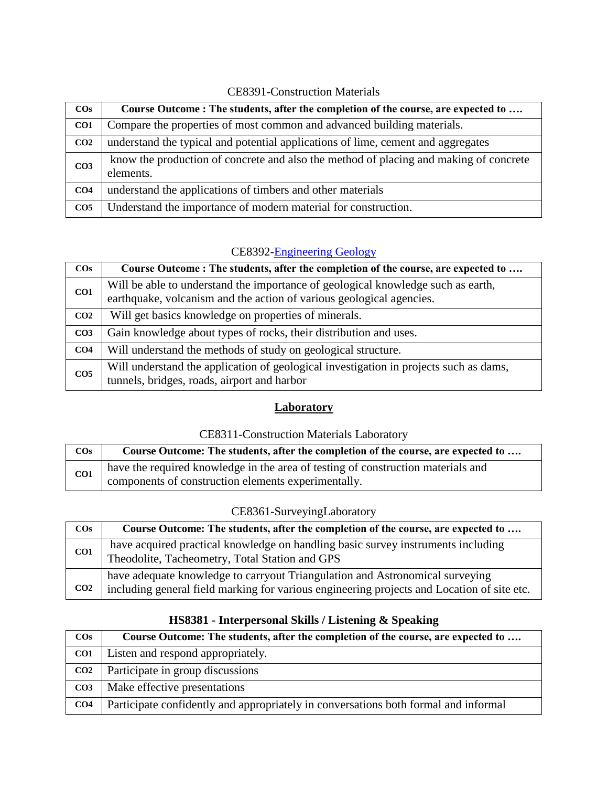| $\cos$          | Course Outcome : The students, after the completion of the course, are expected to                 |
|-----------------|----------------------------------------------------------------------------------------------------|
| CO <sub>1</sub> | Compare the properties of most common and advanced building materials.                             |
| CO <sub>2</sub> | understand the typical and potential applications of lime, cement and aggregates                   |
| CO <sub>3</sub> | know the production of concrete and also the method of placing and making of concrete<br>elements. |
| CO <sub>4</sub> | understand the applications of timbers and other materials                                         |
| CO <sub>5</sub> | Understand the importance of modern material for construction.                                     |

### CE8391-Construction Materials

### CE8392-Engineering Geology

| $\cos$          | Course Outcome : The students, after the completion of the course, are expected to                                                                       |
|-----------------|----------------------------------------------------------------------------------------------------------------------------------------------------------|
| CO1             | Will be able to understand the importance of geological knowledge such as earth,<br>earthquake, volcanism and the action of various geological agencies. |
| CO <sub>2</sub> | Will get basics knowledge on properties of minerals.                                                                                                     |
| CO <sub>3</sub> | Gain knowledge about types of rocks, their distribution and uses.                                                                                        |
| CO <sub>4</sub> | Will understand the methods of study on geological structure.                                                                                            |
| CO <sub>5</sub> | Will understand the application of geological investigation in projects such as dams,<br>tunnels, bridges, roads, airport and harbor                     |

### **Laboratory**

### CE8311-Construction Materials Laboratory

| $\cos$ | Course Outcome: The students, after the completion of the course, are expected to                                                       |
|--------|-----------------------------------------------------------------------------------------------------------------------------------------|
| CO1    | have the required knowledge in the area of testing of construction materials and<br>components of construction elements experimentally. |

### CE8361-SurveyingLaboratory

| $\cos$          | Course Outcome: The students, after the completion of the course, are expected to                                                                                          |
|-----------------|----------------------------------------------------------------------------------------------------------------------------------------------------------------------------|
| CO <sub>1</sub> | have acquired practical knowledge on handling basic survey instruments including<br>Theodolite, Tacheometry, Total Station and GPS                                         |
| CO <sub>2</sub> | have adequate knowledge to carryout Triangulation and Astronomical surveying<br>including general field marking for various engineering projects and Location of site etc. |

| $\cos$          | Course Outcome: The students, after the completion of the course, are expected to   |
|-----------------|-------------------------------------------------------------------------------------|
| CO <sub>1</sub> | Listen and respond appropriately.                                                   |
| CO <sub>2</sub> | Participate in group discussions                                                    |
| CO <sub>3</sub> | Make effective presentations                                                        |
| CO <sub>4</sub> | Participate confidently and appropriately in conversations both formal and informal |

### **HS8381 - Interpersonal Skills / Listening & Speaking**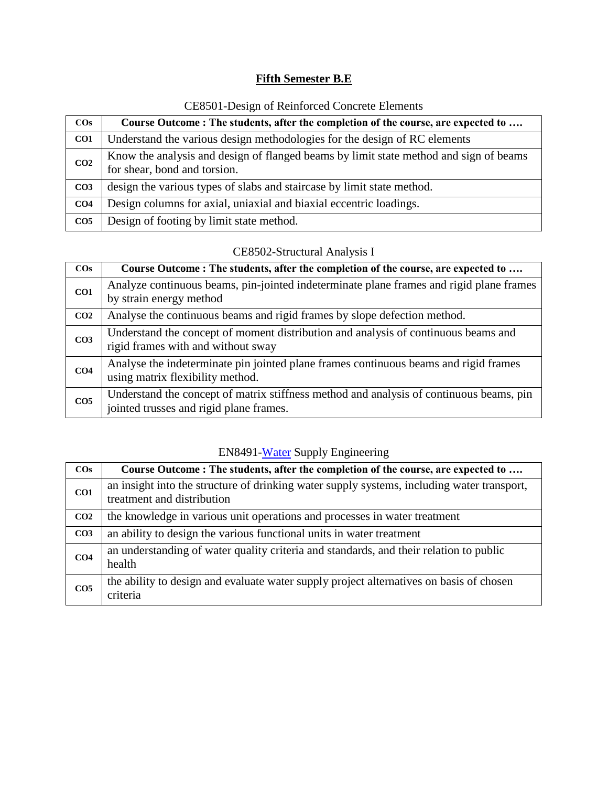## **Fifth Semester B.E**

| $\cos$          | Course Outcome: The students, after the completion of the course, are expected to                                     |
|-----------------|-----------------------------------------------------------------------------------------------------------------------|
| CO <sub>1</sub> | Understand the various design methodologies for the design of RC elements                                             |
| CO <sub>2</sub> | Know the analysis and design of flanged beams by limit state method and sign of beams<br>for shear, bond and torsion. |
| CO <sub>3</sub> | design the various types of slabs and staircase by limit state method.                                                |
| CO <sub>4</sub> | Design columns for axial, uniaxial and biaxial eccentric loadings.                                                    |
| CO <sub>5</sub> | Design of footing by limit state method.                                                                              |

## CE8501-Design of Reinforced Concrete Elements

### CE8502-Structural Analysis I

| $\cos$          | Course Outcome : The students, after the completion of the course, are expected to                                                 |
|-----------------|------------------------------------------------------------------------------------------------------------------------------------|
| CO <sub>1</sub> | Analyze continuous beams, pin-jointed indeterminate plane frames and rigid plane frames<br>by strain energy method                 |
| CO <sub>2</sub> | Analyse the continuous beams and rigid frames by slope defection method.                                                           |
| CO <sub>3</sub> | Understand the concept of moment distribution and analysis of continuous beams and<br>rigid frames with and without sway           |
| CO <sub>4</sub> | Analyse the indeterminate pin jointed plane frames continuous beams and rigid frames<br>using matrix flexibility method.           |
| CO <sub>5</sub> | Understand the concept of matrix stiffness method and analysis of continuous beams, pin<br>jointed trusses and rigid plane frames. |

## EN8491-Water Supply Engineering

| $\cos$          | Course Outcome : The students, after the completion of the course, are expected to                                       |
|-----------------|--------------------------------------------------------------------------------------------------------------------------|
| CO <sub>1</sub> | an insight into the structure of drinking water supply systems, including water transport,<br>treatment and distribution |
| CO <sub>2</sub> | the knowledge in various unit operations and processes in water treatment                                                |
| CO <sub>3</sub> | an ability to design the various functional units in water treatment                                                     |
| CO <sub>4</sub> | an understanding of water quality criteria and standards, and their relation to public<br>health                         |
| CO <sub>5</sub> | the ability to design and evaluate water supply project alternatives on basis of chosen<br>criteria                      |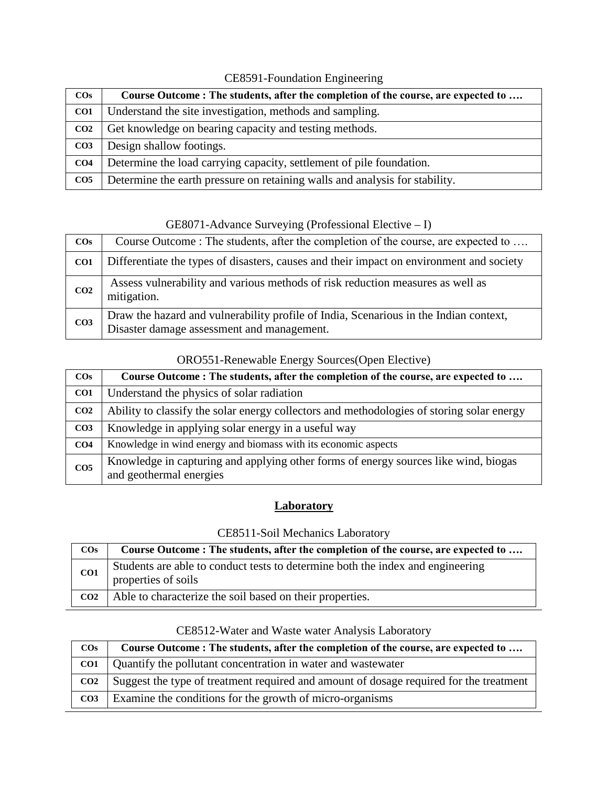| $\cos$          | Course Outcome : The students, after the completion of the course, are expected to |
|-----------------|------------------------------------------------------------------------------------|
| CO <sub>1</sub> | Understand the site investigation, methods and sampling.                           |
| CO <sub>2</sub> | Get knowledge on bearing capacity and testing methods.                             |
| CO <sub>3</sub> | Design shallow footings.                                                           |
| CO <sub>4</sub> | Determine the load carrying capacity, settlement of pile foundation.               |
| CO <sub>5</sub> | Determine the earth pressure on retaining walls and analysis for stability.        |

### CE8591-Foundation Engineering

GE8071-Advance Surveying (Professional Elective – I)

| $\cos$          | Course Outcome: The students, after the completion of the course, are expected to                                                   |
|-----------------|-------------------------------------------------------------------------------------------------------------------------------------|
| CO <sub>1</sub> | Differentiate the types of disasters, causes and their impact on environment and society                                            |
| CO <sub>2</sub> | Assess vulnerability and various methods of risk reduction measures as well as<br>mitigation.                                       |
| CO <sub>3</sub> | Draw the hazard and vulnerability profile of India, Scenarious in the Indian context,<br>Disaster damage assessment and management. |

### ORO551-Renewable Energy Sources(Open Elective)

| $\cos$          | Course Outcome : The students, after the completion of the course, are expected to                             |
|-----------------|----------------------------------------------------------------------------------------------------------------|
| CO <sub>1</sub> | Understand the physics of solar radiation                                                                      |
| CO <sub>2</sub> | Ability to classify the solar energy collectors and methodologies of storing solar energy                      |
| CO <sub>3</sub> | Knowledge in applying solar energy in a useful way                                                             |
| CO <sub>4</sub> | Knowledge in wind energy and biomass with its economic aspects                                                 |
| CO <sub>5</sub> | Knowledge in capturing and applying other forms of energy sources like wind, biogas<br>and geothermal energies |

## **Laboratory**

### CE8511-Soil Mechanics Laboratory

| $\cos$          | Course Outcome : The students, after the completion of the course, are expected to                    |
|-----------------|-------------------------------------------------------------------------------------------------------|
| CO1             | Students are able to conduct tests to determine both the index and engineering<br>properties of soils |
| CO <sub>2</sub> | Able to characterize the soil based on their properties.                                              |

| $\cos$          | Course Outcome : The students, after the completion of the course, are expected to     |
|-----------------|----------------------------------------------------------------------------------------|
| CO <sub>1</sub> | Quantify the pollutant concentration in water and wastewater                           |
| CO <sub>2</sub> | Suggest the type of treatment required and amount of dosage required for the treatment |
| CO <sub>3</sub> | Examine the conditions for the growth of micro-organisms                               |

### CE8512-Water and Waste water Analysis Laboratory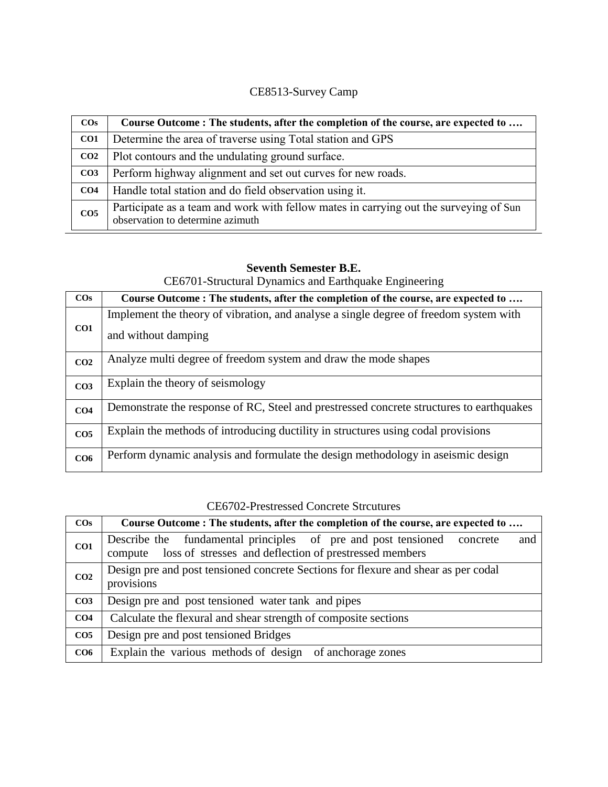## CE8513-Survey Camp

| $\cos$          | Course Outcome: The students, after the completion of the course, are expected to                                         |
|-----------------|---------------------------------------------------------------------------------------------------------------------------|
| CO1             | Determine the area of traverse using Total station and GPS                                                                |
| CO <sub>2</sub> | Plot contours and the undulating ground surface.                                                                          |
| CO <sub>3</sub> | Perform highway alignment and set out curves for new roads.                                                               |
| CO <sub>4</sub> | Handle total station and do field observation using it.                                                                   |
| CO <sub>5</sub> | Participate as a team and work with fellow mates in carrying out the surveying of Sun<br>observation to determine azimuth |

## **Seventh Semester B.E.**

CE6701-Structural Dynamics and Earthquake Engineering

| $\cos$          | Course Outcome: The students, after the completion of the course, are expected to        |
|-----------------|------------------------------------------------------------------------------------------|
| CO1             | Implement the theory of vibration, and analyse a single degree of freedom system with    |
|                 | and without damping                                                                      |
| CO <sub>2</sub> | Analyze multi degree of freedom system and draw the mode shapes                          |
| CO <sub>3</sub> | Explain the theory of seismology                                                         |
| CO <sub>4</sub> | Demonstrate the response of RC, Steel and prestressed concrete structures to earthquakes |
| CO <sub>5</sub> | Explain the methods of introducing ductility in structures using codal provisions        |
| CO6             | Perform dynamic analysis and formulate the design methodology in aseismic design         |

| $\cos$          | Course Outcome: The students, after the completion of the course, are expected to                                                               |
|-----------------|-------------------------------------------------------------------------------------------------------------------------------------------------|
| CO1             | Describe the fundamental principles of pre and post tensioned concrete<br>and<br>compute loss of stresses and deflection of prestressed members |
| CO <sub>2</sub> | Design pre and post tensioned concrete Sections for flexure and shear as per codal<br>provisions                                                |
| CO <sub>3</sub> | Design pre and post tensioned water tank and pipes                                                                                              |
| CO <sub>4</sub> | Calculate the flexural and shear strength of composite sections                                                                                 |
| CO <sub>5</sub> | Design pre and post tensioned Bridges                                                                                                           |
| CO6             | Explain the various methods of design of anchorage zones                                                                                        |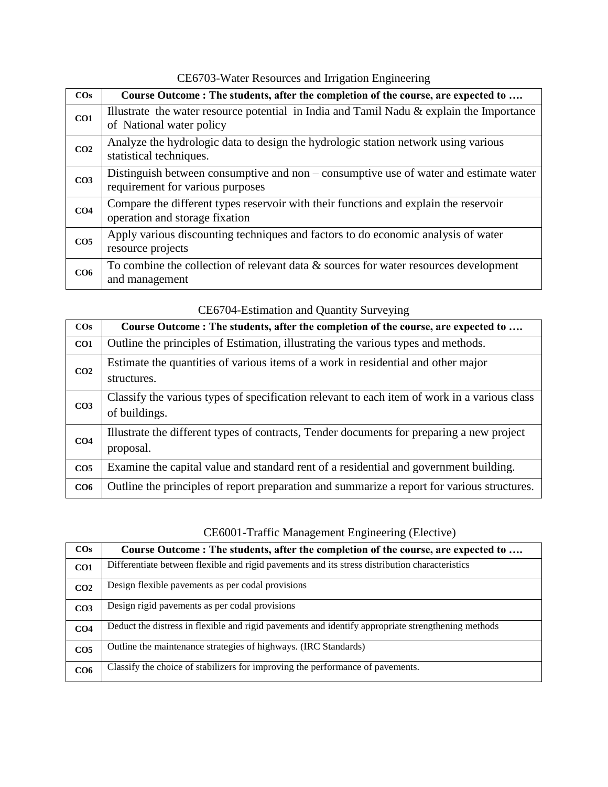CE6703-Water Resources and Irrigation Engineering

| $\cos$          | Course Outcome: The students, after the completion of the course, are expected to                                         |
|-----------------|---------------------------------------------------------------------------------------------------------------------------|
| CO1             | Illustrate the water resource potential in India and Tamil Nadu & explain the Importance<br>of National water policy      |
| CO <sub>2</sub> | Analyze the hydrologic data to design the hydrologic station network using various<br>statistical techniques.             |
| CO <sub>3</sub> | Distinguish between consumptive and non – consumptive use of water and estimate water<br>requirement for various purposes |
| CO <sub>4</sub> | Compare the different types reservoir with their functions and explain the reservoir<br>operation and storage fixation    |
| CO <sub>5</sub> | Apply various discounting techniques and factors to do economic analysis of water<br>resource projects                    |
| CO6             | To combine the collection of relevant data $\&$ sources for water resources development<br>and management                 |

| $\mathcal{L}$ $\mathcal{L}$ of $\mathcal{L}$ is the term of the $\mathcal{L}$ and $\mathcal{L}$ of $\mathcal{L}$ is the set of $\mathcal{L}$ |                                                                                                               |
|----------------------------------------------------------------------------------------------------------------------------------------------|---------------------------------------------------------------------------------------------------------------|
| $\cos$                                                                                                                                       | Course Outcome : The students, after the completion of the course, are expected to                            |
| CO1                                                                                                                                          | Outline the principles of Estimation, illustrating the various types and methods.                             |
| CO <sub>2</sub>                                                                                                                              | Estimate the quantities of various items of a work in residential and other major<br>structures.              |
| CO <sub>3</sub>                                                                                                                              | Classify the various types of specification relevant to each item of work in a various class<br>of buildings. |
| CO <sub>4</sub>                                                                                                                              | Illustrate the different types of contracts, Tender documents for preparing a new project<br>proposal.        |
| CO <sub>5</sub>                                                                                                                              | Examine the capital value and standard rent of a residential and government building.                         |
| CO6                                                                                                                                          | Outline the principles of report preparation and summarize a report for various structures.                   |

#### CE6704-Estimation and Quantity Surveying

## CE6001-Traffic Management Engineering (Elective)

| $\cos$          | Course Outcome: The students, after the completion of the course, are expected to                  |
|-----------------|----------------------------------------------------------------------------------------------------|
| CO1             | Differentiate between flexible and rigid pavements and its stress distribution characteristics     |
| CO <sub>2</sub> | Design flexible pavements as per codal provisions                                                  |
| CO <sub>3</sub> | Design rigid pavements as per codal provisions                                                     |
| CO <sub>4</sub> | Deduct the distress in flexible and rigid pavements and identify appropriate strengthening methods |
| CO <sub>5</sub> | Outline the maintenance strategies of highways. (IRC Standards)                                    |
| CO <sub>6</sub> | Classify the choice of stabilizers for improving the performance of pavements.                     |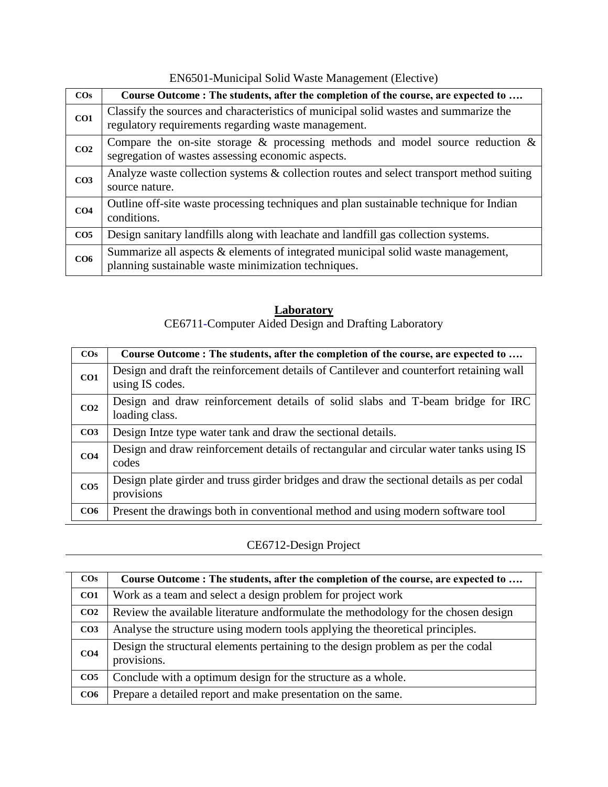EN6501-Municipal Solid Waste Management (Elective)

| $\cos$          | Course Outcome: The students, after the completion of the course, are expected to                                                           |
|-----------------|---------------------------------------------------------------------------------------------------------------------------------------------|
| CO1             | Classify the sources and characteristics of municipal solid wastes and summarize the<br>regulatory requirements regarding waste management. |
| CO <sub>2</sub> | Compare the on-site storage $\&$ processing methods and model source reduction $\&$<br>segregation of wastes assessing economic aspects.    |
| CO <sub>3</sub> | Analyze waste collection systems & collection routes and select transport method suiting<br>source nature.                                  |
| CO <sub>4</sub> | Outline off-site waste processing techniques and plan sustainable technique for Indian<br>conditions.                                       |
| CO <sub>5</sub> | Design sanitary landfills along with leachate and landfill gas collection systems.                                                          |
| CO <sub>6</sub> | Summarize all aspects & elements of integrated municipal solid waste management,<br>planning sustainable waste minimization techniques.     |

#### **Laboratory**

CE6711-Computer Aided Design and Drafting Laboratory

| $\cos$          | Course Outcome : The students, after the completion of the course, are expected to                         |
|-----------------|------------------------------------------------------------------------------------------------------------|
| CO1             | Design and draft the reinforcement details of Cantilever and counterfort retaining wall<br>using IS codes. |
| CO <sub>2</sub> | Design and draw reinforcement details of solid slabs and T-beam bridge for IRC<br>loading class.           |
| CO <sub>3</sub> | Design Intze type water tank and draw the sectional details.                                               |
| CO <sub>4</sub> | Design and draw reinforcement details of rectangular and circular water tanks using IS<br>codes            |
| CO <sub>5</sub> | Design plate girder and truss girder bridges and draw the sectional details as per codal<br>provisions     |
| CO6             | Present the drawings both in conventional method and using modern software tool                            |

### CE6712-Design Project

| $\cos$          | Course Outcome : The students, after the completion of the course, are expected to              |
|-----------------|-------------------------------------------------------------------------------------------------|
| CO1             | Work as a team and select a design problem for project work                                     |
| CO <sub>2</sub> | Review the available literature and formulate the methodology for the chosen design             |
| CO <sub>3</sub> | Analyse the structure using modern tools applying the theoretical principles.                   |
| CO <sub>4</sub> | Design the structural elements pertaining to the design problem as per the codal<br>provisions. |
| CO <sub>5</sub> | Conclude with a optimum design for the structure as a whole.                                    |
| CO6             | Prepare a detailed report and make presentation on the same.                                    |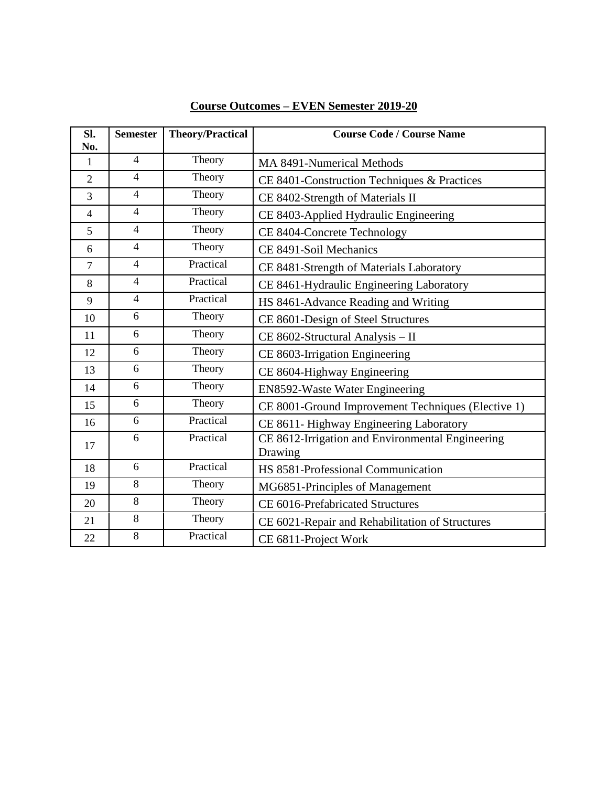| Sl.<br>No.     | <b>Semester</b> | <b>Theory/Practical</b> | <b>Course Code / Course Name</b>                            |
|----------------|-----------------|-------------------------|-------------------------------------------------------------|
| $\mathbf{1}$   | $\overline{4}$  | Theory                  | MA 8491-Numerical Methods                                   |
| $\overline{2}$ | $\overline{4}$  | Theory                  | CE 8401-Construction Techniques & Practices                 |
| 3              | $\overline{4}$  | Theory                  | CE 8402-Strength of Materials II                            |
| $\overline{4}$ | $\overline{4}$  | Theory                  | CE 8403-Applied Hydraulic Engineering                       |
| 5              | $\overline{4}$  | Theory                  | CE 8404-Concrete Technology                                 |
| 6              | $\overline{4}$  | Theory                  | CE 8491-Soil Mechanics                                      |
| $\overline{7}$ | $\overline{4}$  | Practical               | CE 8481-Strength of Materials Laboratory                    |
| 8              | $\overline{4}$  | Practical               | CE 8461-Hydraulic Engineering Laboratory                    |
| 9              | $\overline{4}$  | Practical               | HS 8461-Advance Reading and Writing                         |
| 10             | 6               | Theory                  | CE 8601-Design of Steel Structures                          |
| 11             | 6               | Theory                  | CE 8602-Structural Analysis - II                            |
| 12             | 6               | Theory                  | CE 8603-Irrigation Engineering                              |
| 13             | 6               | Theory                  | CE 8604-Highway Engineering                                 |
| 14             | 6               | Theory                  | EN8592-Waste Water Engineering                              |
| 15             | 6               | Theory                  | CE 8001-Ground Improvement Techniques (Elective 1)          |
| 16             | 6               | Practical               | CE 8611- Highway Engineering Laboratory                     |
| 17             | 6               | Practical               | CE 8612-Irrigation and Environmental Engineering<br>Drawing |
| 18             | 6               | Practical               | HS 8581-Professional Communication                          |
| 19             | 8               | Theory                  | MG6851-Principles of Management                             |
| 20             | 8               | Theory                  | CE 6016-Prefabricated Structures                            |
| 21             | 8               | Theory                  | CE 6021-Repair and Rehabilitation of Structures             |
| 22             | 8               | Practical               | CE 6811-Project Work                                        |

## **Course Outcomes – EVEN Semester 2019-20**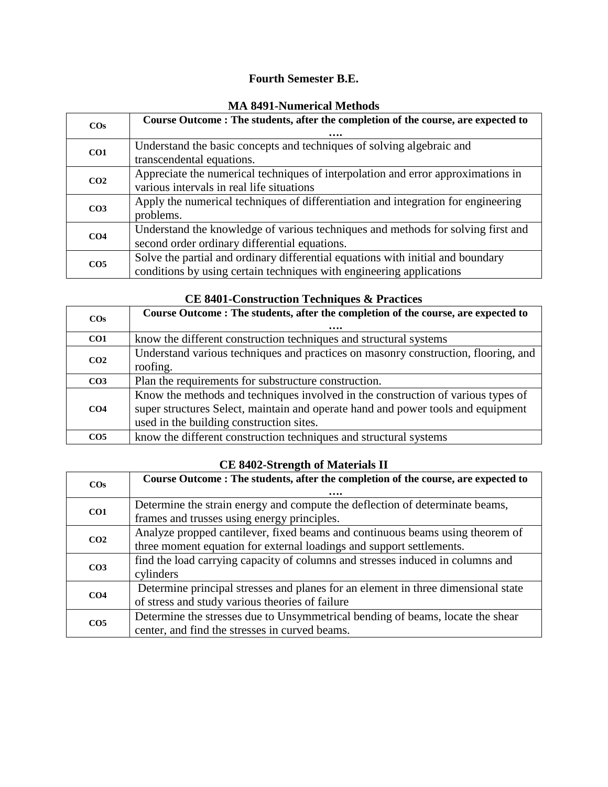### **Fourth Semester B.E.**

| мія 0491-і чиненсаі мешоць |                                                                                                                                                         |
|----------------------------|---------------------------------------------------------------------------------------------------------------------------------------------------------|
| $\cos$                     | Course Outcome: The students, after the completion of the course, are expected to                                                                       |
| CO <sub>1</sub>            | Understand the basic concepts and techniques of solving algebraic and<br>transcendental equations.                                                      |
| CO <sub>2</sub>            | Appreciate the numerical techniques of interpolation and error approximations in<br>various intervals in real life situations                           |
| CO <sub>3</sub>            | Apply the numerical techniques of differentiation and integration for engineering<br>problems.                                                          |
| CO <sub>4</sub>            | Understand the knowledge of various techniques and methods for solving first and<br>second order ordinary differential equations.                       |
| CO <sub>5</sub>            | Solve the partial and ordinary differential equations with initial and boundary<br>conditions by using certain techniques with engineering applications |

#### **MA 8491-Numerical Methods**

|                 | CE 0401-CONSULUCTION TECHNIQUES & TTACHCES                                                                                                                                                                       |  |
|-----------------|------------------------------------------------------------------------------------------------------------------------------------------------------------------------------------------------------------------|--|
| $\cos$          | Course Outcome : The students, after the completion of the course, are expected to                                                                                                                               |  |
| CO1             | know the different construction techniques and structural systems                                                                                                                                                |  |
| CO <sub>2</sub> | Understand various techniques and practices on masonry construction, flooring, and<br>roofing.                                                                                                                   |  |
| CO <sub>3</sub> | Plan the requirements for substructure construction.                                                                                                                                                             |  |
| CO <sub>4</sub> | Know the methods and techniques involved in the construction of various types of<br>super structures Select, maintain and operate hand and power tools and equipment<br>used in the building construction sites. |  |
| CO <sub>5</sub> | know the different construction techniques and structural systems                                                                                                                                                |  |

### **CE 8401-Construction Techniques & Practices**

#### **CE 8402-Strength of Materials II**

| $\cos$          | Course Outcome: The students, after the completion of the course, are expected to |
|-----------------|-----------------------------------------------------------------------------------|
|                 |                                                                                   |
| CO <sub>1</sub> | Determine the strain energy and compute the deflection of determinate beams,      |
|                 | frames and trusses using energy principles.                                       |
| CO <sub>2</sub> | Analyze propped cantilever, fixed beams and continuous beams using theorem of     |
|                 | three moment equation for external loadings and support settlements.              |
| CO <sub>3</sub> | find the load carrying capacity of columns and stresses induced in columns and    |
|                 | cylinders                                                                         |
| CO <sub>4</sub> | Determine principal stresses and planes for an element in three dimensional state |
|                 | of stress and study various theories of failure                                   |
|                 | Determine the stresses due to Unsymmetrical bending of beams, locate the shear    |
| CO <sub>5</sub> | center, and find the stresses in curved beams.                                    |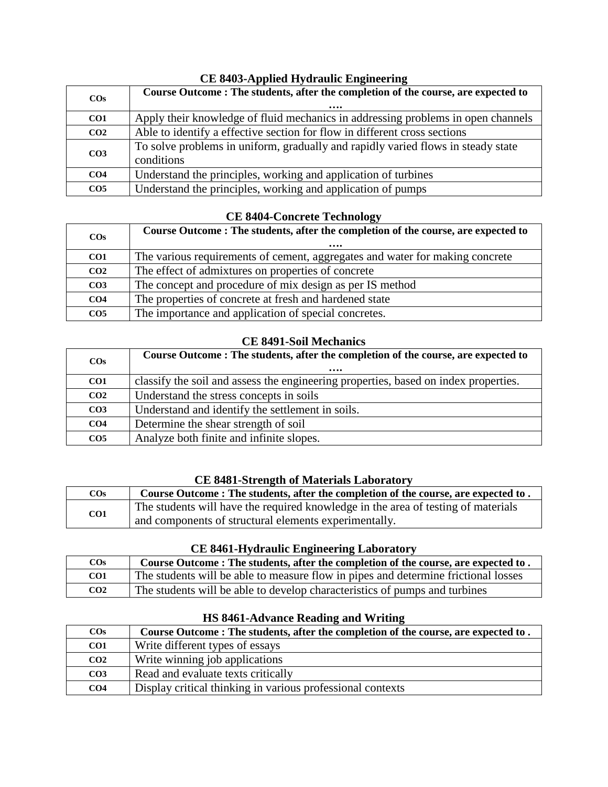| CE 0700-Applica Hydraune Engineering |                                                                                                |
|--------------------------------------|------------------------------------------------------------------------------------------------|
| $\cos$                               | Course Outcome: The students, after the completion of the course, are expected to<br>          |
| CO1                                  | Apply their knowledge of fluid mechanics in addressing problems in open channels               |
| CO <sub>2</sub>                      | Able to identify a effective section for flow in different cross sections                      |
| CO <sub>3</sub>                      | To solve problems in uniform, gradually and rapidly varied flows in steady state<br>conditions |
| CO <sub>4</sub>                      | Understand the principles, working and application of turbines                                 |
| CO <sub>5</sub>                      | Understand the principles, working and application of pumps                                    |

### CE 8403-Applied Hydraulic Engineering

#### **CE 8404-Concrete Technology**

| $\cos$          | Course Outcome : The students, after the completion of the course, are expected to |
|-----------------|------------------------------------------------------------------------------------|
|                 | $\cdots$                                                                           |
| CO1             | The various requirements of cement, aggregates and water for making concrete       |
| CO <sub>2</sub> | The effect of admixtures on properties of concrete                                 |
| CO <sub>3</sub> | The concept and procedure of mix design as per IS method                           |
| CO <sub>4</sub> | The properties of concrete at fresh and hardened state                             |
| CO <sub>5</sub> | The importance and application of special concretes.                               |

#### **CE 8491-Soil Mechanics**

| $\cos$          | Course Outcome: The students, after the completion of the course, are expected to<br>$\cdots$ |
|-----------------|-----------------------------------------------------------------------------------------------|
| CO <sub>1</sub> | classify the soil and assess the engineering properties, based on index properties.           |
| CO <sub>2</sub> | Understand the stress concepts in soils                                                       |
| CO <sub>3</sub> | Understand and identify the settlement in soils.                                              |
| CO <sub>4</sub> | Determine the shear strength of soil                                                          |
| CO <sub>5</sub> | Analyze both finite and infinite slopes.                                                      |

#### **CE 8481-Strength of Materials Laboratory**

| $\cos$          | Course Outcome: The students, after the completion of the course, are expected to. |
|-----------------|------------------------------------------------------------------------------------|
| CO <sub>1</sub> | The students will have the required knowledge in the area of testing of materials  |
|                 | and components of structural elements experimentally.                              |

#### **CE 8461-Hydraulic Engineering Laboratory**

| $\cos$          | Course Outcome : The students, after the completion of the course, are expected to . |
|-----------------|--------------------------------------------------------------------------------------|
| CO <sub>1</sub> | The students will be able to measure flow in pipes and determine frictional losses   |
| CO <sub>2</sub> | The students will be able to develop characteristics of pumps and turbines           |

### **COs Course Outcome : The students, after the completion of the course, are expected to . CO1** Write different types of essays **CO2** Write winning job applications **CO3** Read and evaluate texts critically **CO4** Display critical thinking in various professional contexts

#### **HS 8461-Advance Reading and Writing**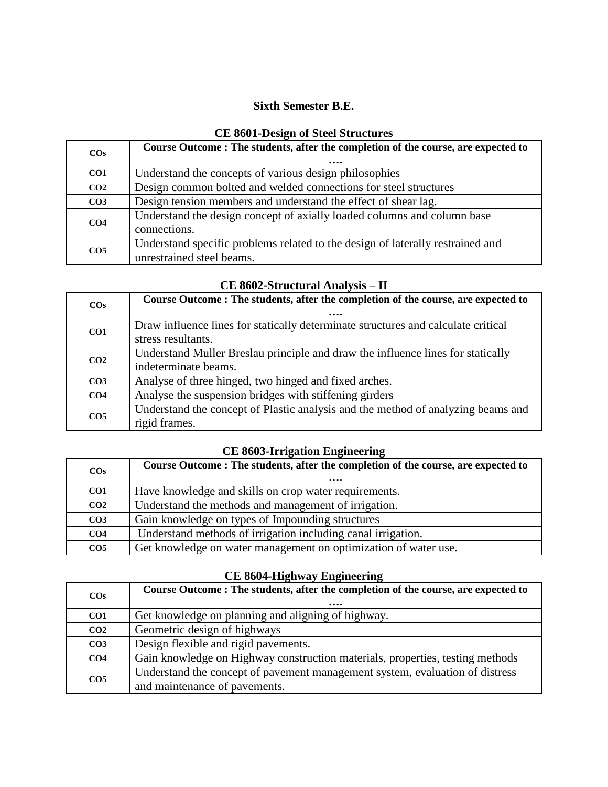#### **Sixth Semester B.E.**

| CE OUVI-DESIGN OF SIGGI STEUCHTES |                                                                                                             |
|-----------------------------------|-------------------------------------------------------------------------------------------------------------|
| $\cos$                            | Course Outcome: The students, after the completion of the course, are expected to<br>                       |
| CO <sub>1</sub>                   | Understand the concepts of various design philosophies                                                      |
| CO <sub>2</sub>                   | Design common bolted and welded connections for steel structures                                            |
| CO <sub>3</sub>                   | Design tension members and understand the effect of shear lag.                                              |
| CO <sub>4</sub>                   | Understand the design concept of axially loaded columns and column base<br>connections.                     |
| CO <sub>5</sub>                   | Understand specific problems related to the design of laterally restrained and<br>unrestrained steel beams. |

### **CE 8601-Design of Steel Structures**

| $\cos$          | Course Outcome : The students, after the completion of the course, are expected to |
|-----------------|------------------------------------------------------------------------------------|
|                 |                                                                                    |
| CO1             | Draw influence lines for statically determinate structures and calculate critical  |
|                 | stress resultants.                                                                 |
|                 | Understand Muller Breslau principle and draw the influence lines for statically    |
| CO <sub>2</sub> | indeterminate beams.                                                               |
| CO <sub>3</sub> | Analyse of three hinged, two hinged and fixed arches.                              |
| CO <sub>4</sub> | Analyse the suspension bridges with stiffening girders                             |
| CO <sub>5</sub> | Understand the concept of Plastic analysis and the method of analyzing beams and   |
|                 | rigid frames.                                                                      |

### **CE 8602-Structural Analysis – II**

# **CE 8603-Irrigation Engineering**

| $\cos$          | Course Outcome: The students, after the completion of the course, are expected to<br>$\cdots$ |
|-----------------|-----------------------------------------------------------------------------------------------|
| CO <sub>1</sub> | Have knowledge and skills on crop water requirements.                                         |
| CO <sub>2</sub> | Understand the methods and management of irrigation.                                          |
| CO <sub>3</sub> | Gain knowledge on types of Impounding structures                                              |
| CO <sub>4</sub> | Understand methods of irrigation including canal irrigation.                                  |
| CO <sub>5</sub> | Get knowledge on water management on optimization of water use.                               |

### **CE 8604-Highway Engineering**

| $\cos$          | Course Outcome: The students, after the completion of the course, are expected to |
|-----------------|-----------------------------------------------------------------------------------|
|                 |                                                                                   |
| CO <sub>1</sub> | Get knowledge on planning and aligning of highway.                                |
| CO <sub>2</sub> | Geometric design of highways                                                      |
| CO <sub>3</sub> | Design flexible and rigid pavements.                                              |
| CO <sub>4</sub> | Gain knowledge on Highway construction materials, properties, testing methods     |
| CO <sub>5</sub> | Understand the concept of pavement management system, evaluation of distress      |
|                 | and maintenance of pavements.                                                     |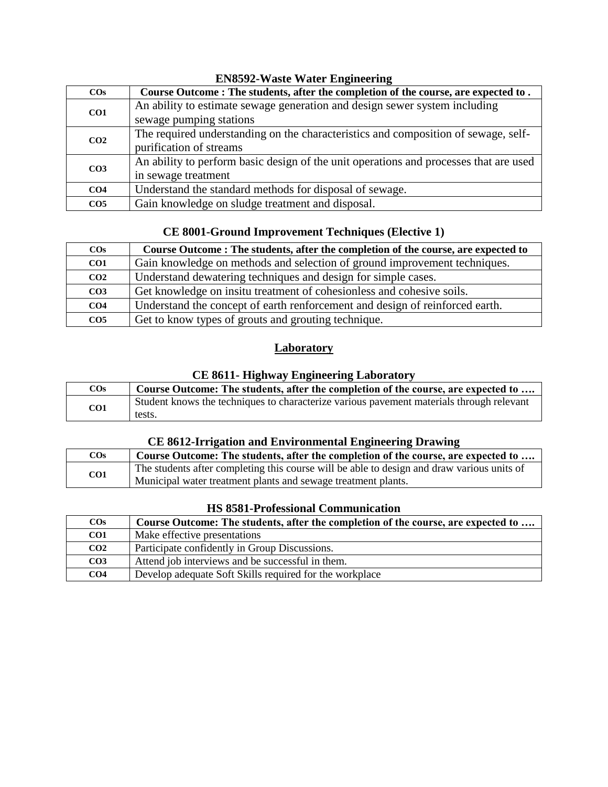| $\cos$          | Course Outcome : The students, after the completion of the course, are expected to.   |
|-----------------|---------------------------------------------------------------------------------------|
| CO <sub>1</sub> | An ability to estimate sewage generation and design sewer system including            |
|                 | sewage pumping stations                                                               |
| CO <sub>2</sub> | The required understanding on the characteristics and composition of sewage, self-    |
|                 | purification of streams                                                               |
| CO <sub>3</sub> | An ability to perform basic design of the unit operations and processes that are used |
|                 | in sewage treatment                                                                   |
| CO <sub>4</sub> | Understand the standard methods for disposal of sewage.                               |
| CO <sub>5</sub> | Gain knowledge on sludge treatment and disposal.                                      |

#### **EN8592-Waste Water Engineering**

### **CE 8001-Ground Improvement Techniques (Elective 1)**

| $\cos$          | Course Outcome : The students, after the completion of the course, are expected to |
|-----------------|------------------------------------------------------------------------------------|
| CO1             | Gain knowledge on methods and selection of ground improvement techniques.          |
| CO <sub>2</sub> | Understand dewatering techniques and design for simple cases.                      |
| CO <sub>3</sub> | Get knowledge on insitu treatment of cohesionless and cohesive soils.              |
| CO <sub>4</sub> | Understand the concept of earth renforcement and design of reinforced earth.       |
| CO <sub>5</sub> | Get to know types of grouts and grouting technique.                                |

### **Laboratory**

### **CE 8611- Highway Engineering Laboratory**

| $\cos$ | Course Outcome: The students, after the completion of the course, are expected to        |
|--------|------------------------------------------------------------------------------------------|
| CO1    | Student knows the techniques to characterize various pavement materials through relevant |
|        | tests.                                                                                   |

#### **CE 8612-Irrigation and Environmental Engineering Drawing**

| $\cos$          | Course Outcome: The students, after the completion of the course, are expected to          |
|-----------------|--------------------------------------------------------------------------------------------|
| CO <sub>1</sub> | The students after completing this course will be able to design and draw various units of |
|                 | Municipal water treatment plants and sewage treatment plants.                              |

#### **HS 8581-Professional Communication**

| $\cos$          | Course Outcome: The students, after the completion of the course, are expected to |
|-----------------|-----------------------------------------------------------------------------------|
| CO <sub>1</sub> | Make effective presentations                                                      |
| CO <sub>2</sub> | Participate confidently in Group Discussions.                                     |
| CO <sub>3</sub> | Attend job interviews and be successful in them.                                  |
| CO <sub>4</sub> | Develop adequate Soft Skills required for the workplace                           |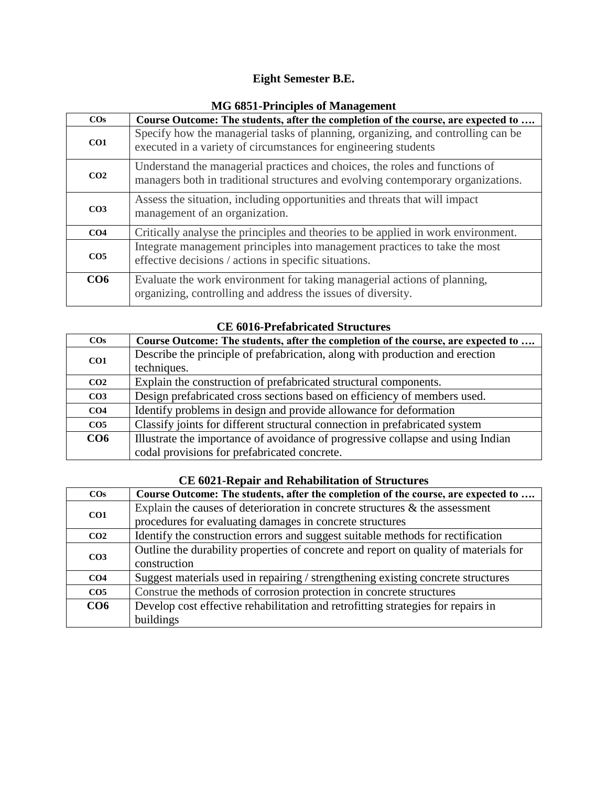### **Eight Semester B.E.**

| <b>NIO 0001-1 HIRIPRS OF Management</b> |                                                                                                                                                                 |
|-----------------------------------------|-----------------------------------------------------------------------------------------------------------------------------------------------------------------|
| $\cos$                                  | Course Outcome: The students, after the completion of the course, are expected to                                                                               |
| CO1                                     | Specify how the managerial tasks of planning, organizing, and controlling can be<br>executed in a variety of circumstances for engineering students             |
| CO <sub>2</sub>                         | Understand the managerial practices and choices, the roles and functions of<br>managers both in traditional structures and evolving contemporary organizations. |
| CO <sub>3</sub>                         | Assess the situation, including opportunities and threats that will impact<br>management of an organization.                                                    |
| CO <sub>4</sub>                         | Critically analyse the principles and theories to be applied in work environment.                                                                               |
| CO <sub>5</sub>                         | Integrate management principles into management practices to take the most<br>effective decisions / actions in specific situations.                             |
| CO6                                     | Evaluate the work environment for taking managerial actions of planning,<br>organizing, controlling and address the issues of diversity.                        |

#### **MG 6851-Principles of Management**

#### **CE 6016-Prefabricated Structures**

| $\cos$          | Course Outcome: The students, after the completion of the course, are expected to |
|-----------------|-----------------------------------------------------------------------------------|
| CO <sub>1</sub> | Describe the principle of prefabrication, along with production and erection      |
|                 | techniques.                                                                       |
| CO <sub>2</sub> | Explain the construction of prefabricated structural components.                  |
| CO <sub>3</sub> | Design prefabricated cross sections based on efficiency of members used.          |
| CO <sub>4</sub> | Identify problems in design and provide allowance for deformation                 |
| CO <sub>5</sub> | Classify joints for different structural connection in prefabricated system       |
| CO6             | Illustrate the importance of avoidance of progressive collapse and using Indian   |
|                 | codal provisions for prefabricated concrete.                                      |

| CD 0021-RUDAN AND RUNADHRAUGH OF DU ACHI US |                                                                                      |
|---------------------------------------------|--------------------------------------------------------------------------------------|
| $\cos$                                      | Course Outcome: The students, after the completion of the course, are expected to    |
| CO1                                         | Explain the causes of deterioration in concrete structures $\&$ the assessment       |
|                                             | procedures for evaluating damages in concrete structures                             |
| CO <sub>2</sub>                             | Identify the construction errors and suggest suitable methods for rectification      |
| CO <sub>3</sub>                             | Outline the durability properties of concrete and report on quality of materials for |
|                                             | construction                                                                         |
| CO <sub>4</sub>                             | Suggest materials used in repairing / strengthening existing concrete structures     |

**CO6** Develop cost effective rehabilitation and retrofitting strategies for repairs in

**CO5** Construe the methods of corrosion protection in concrete structures

buildings

#### **CE 6021-Repair and Rehabilitation of Structures**